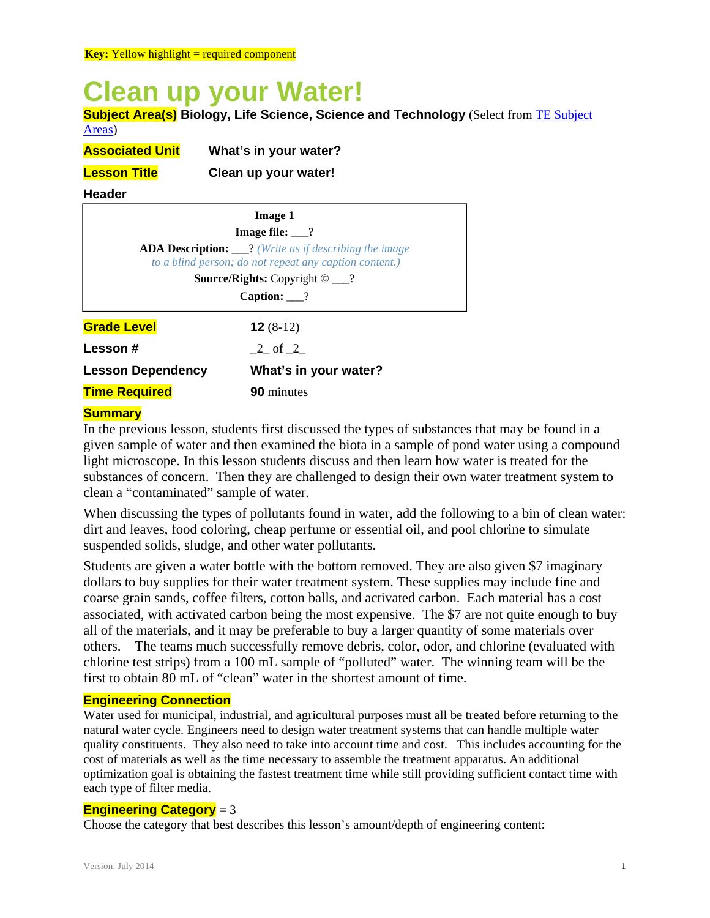# **Clean up your Water!**

**Subject Area(s) Biology, Life Science, Science and Technology** (Select from TE Subject Areas)

| <b>Associated Unit</b> | What's in your water? |
|------------------------|-----------------------|
|                        |                       |

**Lesson Title Clean up your water!** 

**Header**

| <b>Image 1</b>           |                                                                                                                         |
|--------------------------|-------------------------------------------------------------------------------------------------------------------------|
|                          | <b>Image file:</b> $\_\$ ?                                                                                              |
|                          | <b>ADA Description:</b> __? (Write as if describing the image<br>to a blind person; do not repeat any caption content.) |
|                          | <b>Source/Rights:</b> Copyright $\odot$ ___?                                                                            |
| Caption: $\frac{?}{?}$   |                                                                                                                         |
| <b>Grade Level</b>       | $12(8-12)$                                                                                                              |
| Lesson #                 | 2 of 2                                                                                                                  |
| <b>Lesson Dependency</b> | What's in your water?                                                                                                   |
| <b>Time Required</b>     | <b>90</b> minutes                                                                                                       |

# **Summary**

In the previous lesson, students first discussed the types of substances that may be found in a given sample of water and then examined the biota in a sample of pond water using a compound light microscope. In this lesson students discuss and then learn how water is treated for the substances of concern. Then they are challenged to design their own water treatment system to clean a "contaminated" sample of water.

When discussing the types of pollutants found in water, add the following to a bin of clean water: dirt and leaves, food coloring, cheap perfume or essential oil, and pool chlorine to simulate suspended solids, sludge, and other water pollutants.

Students are given a water bottle with the bottom removed. They are also given \$7 imaginary dollars to buy supplies for their water treatment system. These supplies may include fine and coarse grain sands, coffee filters, cotton balls, and activated carbon. Each material has a cost associated, with activated carbon being the most expensive. The \$7 are not quite enough to buy all of the materials, and it may be preferable to buy a larger quantity of some materials over others. The teams much successfully remove debris, color, odor, and chlorine (evaluated with chlorine test strips) from a 100 mL sample of "polluted" water. The winning team will be the first to obtain 80 mL of "clean" water in the shortest amount of time.

# **Engineering Connection**

Water used for municipal, industrial, and agricultural purposes must all be treated before returning to the natural water cycle. Engineers need to design water treatment systems that can handle multiple water quality constituents. They also need to take into account time and cost. This includes accounting for the cost of materials as well as the time necessary to assemble the treatment apparatus. An additional optimization goal is obtaining the fastest treatment time while still providing sufficient contact time with each type of filter media.

## **Engineering Category** = 3

Choose the category that best describes this lesson's amount/depth of engineering content: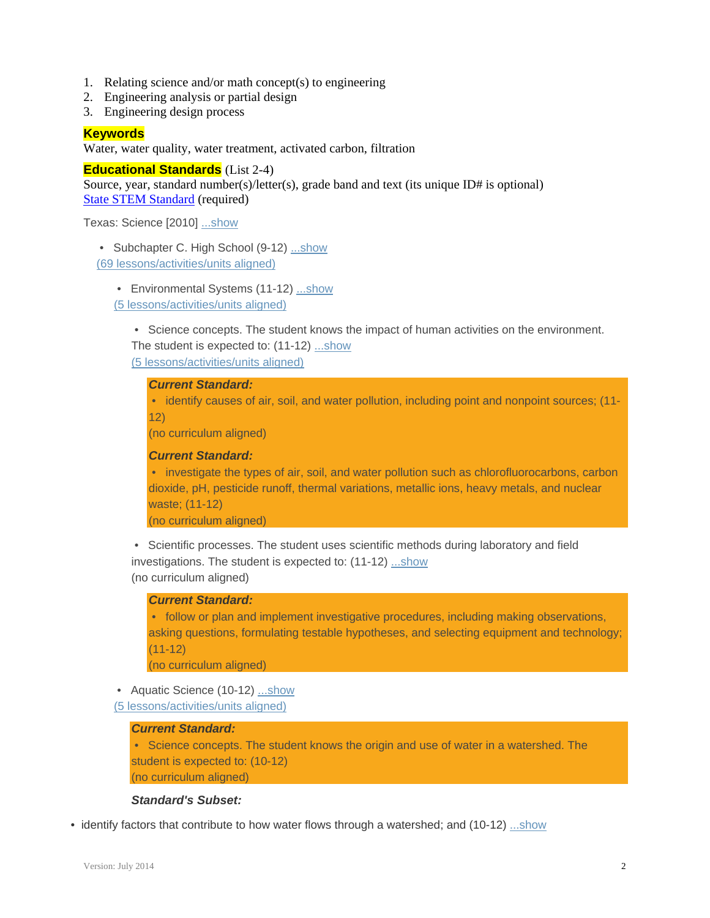- 1. Relating science and/or math concept(s) to engineering
- 2. Engineering analysis or partial design
- 3. Engineering design process

## **Keywords**

Water, water quality, water treatment, activated carbon, filtration

**Educational Standards** (List 2-4) Source, year, standard number(s)/letter(s), grade band and text (its unique ID# is optional) State STEM Standard (required)

Texas: Science [2010] ...show

• Subchapter C. High School (9-12) ...show (69 lessons/activities/units aligned)

 • Environmental Systems (11-12) ...show (5 lessons/activities/units aligned)

 • Science concepts. The student knows the impact of human activities on the environment. The student is expected to: (11-12) ...show

(5 lessons/activities/units aligned)

# *Current Standard:*

 • identify causes of air, soil, and water pollution, including point and nonpoint sources; (11- 12)

(no curriculum aligned)

#### *Current Standard:*

• investigate the types of air, soil, and water pollution such as chlorofluorocarbons, carbon dioxide, pH, pesticide runoff, thermal variations, metallic ions, heavy metals, and nuclear waste; (11-12)

(no curriculum aligned)

 • Scientific processes. The student uses scientific methods during laboratory and field investigations. The student is expected to: (11-12) ...show (no curriculum aligned)

## *Current Standard:*

 • follow or plan and implement investigative procedures, including making observations, asking questions, formulating testable hypotheses, and selecting equipment and technology;  $(11 - 12)$ 

(no curriculum aligned)

• Aquatic Science (10-12) ...show

(5 lessons/activities/units aligned)

## *Current Standard:*

 • Science concepts. The student knows the origin and use of water in a watershed. The student is expected to: (10-12) (no curriculum aligned)

#### *Standard's Subset:*

• identify factors that contribute to how water flows through a watershed; and (10-12) ...show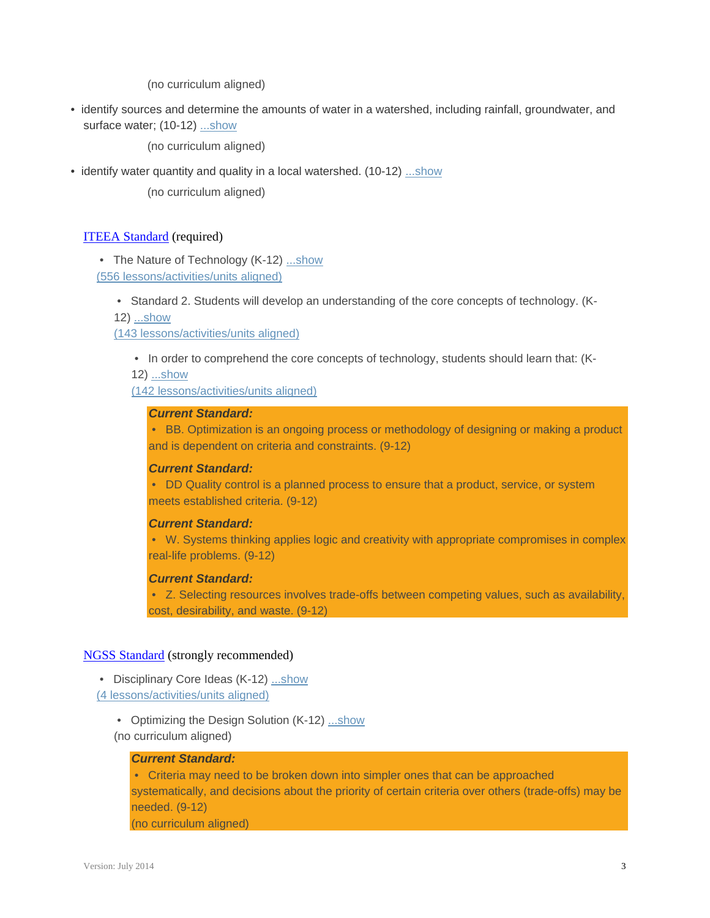(no curriculum aligned)

 • identify sources and determine the amounts of water in a watershed, including rainfall, groundwater, and surface water; (10-12) ...show

(no curriculum aligned)

• identify water quantity and quality in a local watershed. (10-12) ...show

(no curriculum aligned)

## ITEEA Standard (required)

• The Nature of Technology (K-12) ...show

(556 lessons/activities/units aligned)

• Standard 2. Students will develop an understanding of the core concepts of technology. (K-

12) ...show

(143 lessons/activities/units aligned)

• In order to comprehend the core concepts of technology, students should learn that: (K-

12) ...show

(142 lessons/activities/units aligned)

#### *Current Standard:*

 • BB. Optimization is an ongoing process or methodology of designing or making a product and is dependent on criteria and constraints. (9-12)

#### *Current Standard:*

 • DD Quality control is a planned process to ensure that a product, service, or system meets established criteria. (9-12)

## *Current Standard:*

 • W. Systems thinking applies logic and creativity with appropriate compromises in complex real-life problems. (9-12)

#### *Current Standard:*

 • Z. Selecting resources involves trade-offs between competing values, such as availability, cost, desirability, and waste. (9-12)

#### NGSS Standard (strongly recommended)

- Disciplinary Core Ideas (K-12) ...show (4 lessons/activities/units aligned)
	- Optimizing the Design Solution (K-12) ...show (no curriculum aligned)

#### *Current Standard:*

 • Criteria may need to be broken down into simpler ones that can be approached systematically, and decisions about the priority of certain criteria over others (trade-offs) may be needed. (9-12) (no curriculum aligned)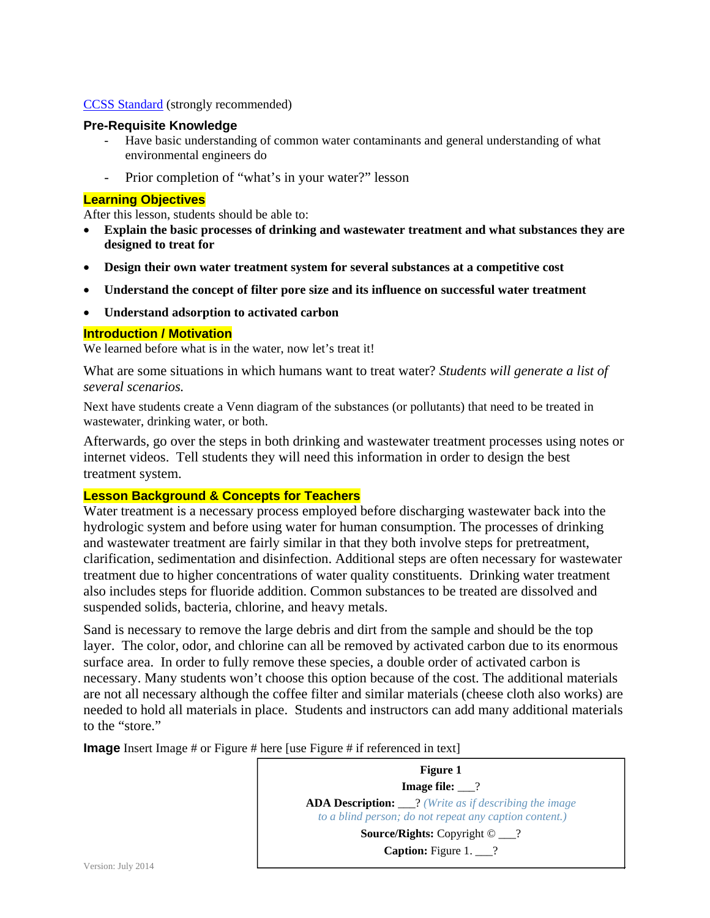## CCSS Standard (strongly recommended)

#### **Pre-Requisite Knowledge**

- Have basic understanding of common water contaminants and general understanding of what environmental engineers do
- Prior completion of "what's in your water?" lesson

## **Learning Objectives**

After this lesson, students should be able to:

- **Explain the basic processes of drinking and wastewater treatment and what substances they are designed to treat for**
- **Design their own water treatment system for several substances at a competitive cost**
- **Understand the concept of filter pore size and its influence on successful water treatment**
- **Understand adsorption to activated carbon**

## **Introduction / Motivation**

We learned before what is in the water, now let's treat it!

What are some situations in which humans want to treat water? *Students will generate a list of several scenarios.* 

Next have students create a Venn diagram of the substances (or pollutants) that need to be treated in wastewater, drinking water, or both.

Afterwards, go over the steps in both drinking and wastewater treatment processes using notes or internet videos. Tell students they will need this information in order to design the best treatment system.

## **Lesson Background & Concepts for Teachers**

Water treatment is a necessary process employed before discharging wastewater back into the hydrologic system and before using water for human consumption. The processes of drinking and wastewater treatment are fairly similar in that they both involve steps for pretreatment, clarification, sedimentation and disinfection. Additional steps are often necessary for wastewater treatment due to higher concentrations of water quality constituents. Drinking water treatment also includes steps for fluoride addition. Common substances to be treated are dissolved and suspended solids, bacteria, chlorine, and heavy metals.

Sand is necessary to remove the large debris and dirt from the sample and should be the top layer. The color, odor, and chlorine can all be removed by activated carbon due to its enormous surface area. In order to fully remove these species, a double order of activated carbon is necessary. Many students won't choose this option because of the cost. The additional materials are not all necessary although the coffee filter and similar materials (cheese cloth also works) are needed to hold all materials in place. Students and instructors can add many additional materials to the "store."

**Image** Insert Image # or Figure # here [use Figure # if referenced in text]

**Figure 1 Image file:** 2 **ADA Description:** \_\_\_? *(Write as if describing the image to a blind person; do not repeat any caption content.)* **Source/Rights:** Copyright © \_\_\_? **Caption:** Figure 1. 2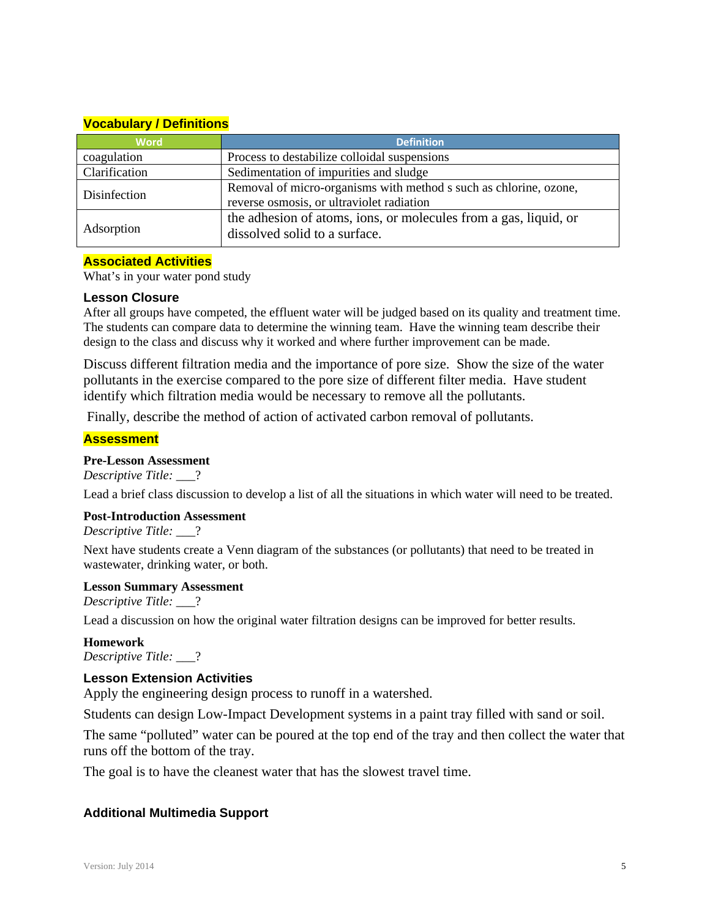# **Vocabulary / Definitions**

| <b>Word</b>   | <b>Definition</b>                                                 |
|---------------|-------------------------------------------------------------------|
| coagulation   | Process to destabilize colloidal suspensions                      |
| Clarification | Sedimentation of impurities and sludge                            |
| Disinfection  | Removal of micro-organisms with method s such as chlorine, ozone, |
|               | reverse osmosis, or ultraviolet radiation                         |
| Adsorption    | the adhesion of atoms, ions, or molecules from a gas, liquid, or  |
|               | dissolved solid to a surface.                                     |

## **Associated Activities**

What's in your water pond study

## **Lesson Closure**

After all groups have competed, the effluent water will be judged based on its quality and treatment time. The students can compare data to determine the winning team. Have the winning team describe their design to the class and discuss why it worked and where further improvement can be made.

Discuss different filtration media and the importance of pore size. Show the size of the water pollutants in the exercise compared to the pore size of different filter media. Have student identify which filtration media would be necessary to remove all the pollutants.

Finally, describe the method of action of activated carbon removal of pollutants.

## **Assessment**

## **Pre-Lesson Assessment**

*Descriptive Title:* \_\_\_?

Lead a brief class discussion to develop a list of all the situations in which water will need to be treated.

## **Post-Introduction Assessment**

*Descriptive Title:* \_\_\_?

Next have students create a Venn diagram of the substances (or pollutants) that need to be treated in wastewater, drinking water, or both.

#### **Lesson Summary Assessment**

*Descriptive Title:* \_\_\_?

Lead a discussion on how the original water filtration designs can be improved for better results.

**Homework**  *Descriptive Title:* \_\_\_?

## **Lesson Extension Activities**

Apply the engineering design process to runoff in a watershed.

Students can design Low-Impact Development systems in a paint tray filled with sand or soil.

The same "polluted" water can be poured at the top end of the tray and then collect the water that runs off the bottom of the tray.

The goal is to have the cleanest water that has the slowest travel time.

## **Additional Multimedia Support**